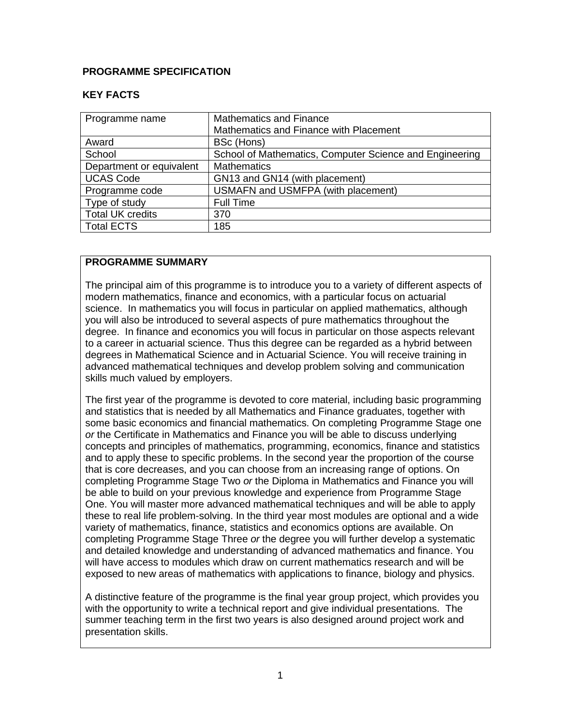### **PROGRAMME SPECIFICATION**

### **KEY FACTS**

| Programme name           | <b>Mathematics and Finance</b><br>Mathematics and Finance with Placement |
|--------------------------|--------------------------------------------------------------------------|
| Award                    | BSc (Hons)                                                               |
| School                   | School of Mathematics, Computer Science and Engineering                  |
| Department or equivalent | <b>Mathematics</b>                                                       |
| <b>UCAS Code</b>         | GN13 and GN14 (with placement)                                           |
| Programme code           | <b>USMAFN and USMFPA (with placement)</b>                                |
| Type of study            | <b>Full Time</b>                                                         |
| <b>Total UK credits</b>  | 370                                                                      |
| <b>Total ECTS</b>        | 185                                                                      |

### **PROGRAMME SUMMARY**

The principal aim of this programme is to introduce you to a variety of different aspects of modern mathematics, finance and economics, with a particular focus on actuarial science. In mathematics you will focus in particular on applied mathematics, although you will also be introduced to several aspects of pure mathematics throughout the degree. In finance and economics you will focus in particular on those aspects relevant to a career in actuarial science. Thus this degree can be regarded as a hybrid between degrees in Mathematical Science and in Actuarial Science. You will receive training in advanced mathematical techniques and develop problem solving and communication skills much valued by employers.

The first year of the programme is devoted to core material, including basic programming and statistics that is needed by all Mathematics and Finance graduates, together with some basic economics and financial mathematics. On completing Programme Stage one *or* the Certificate in Mathematics and Finance you will be able to discuss underlying concepts and principles of mathematics, programming, economics, finance and statistics and to apply these to specific problems. In the second year the proportion of the course that is core decreases, and you can choose from an increasing range of options. On completing Programme Stage Two *or* the Diploma in Mathematics and Finance you will be able to build on your previous knowledge and experience from Programme Stage One. You will master more advanced mathematical techniques and will be able to apply these to real life problem-solving. In the third year most modules are optional and a wide variety of mathematics, finance, statistics and economics options are available. On completing Programme Stage Three *or* the degree you will further develop a systematic and detailed knowledge and understanding of advanced mathematics and finance. You will have access to modules which draw on current mathematics research and will be exposed to new areas of mathematics with applications to finance, biology and physics.

A distinctive feature of the programme is the final year group project, which provides you with the opportunity to write a technical report and give individual presentations. The summer teaching term in the first two years is also designed around project work and presentation skills.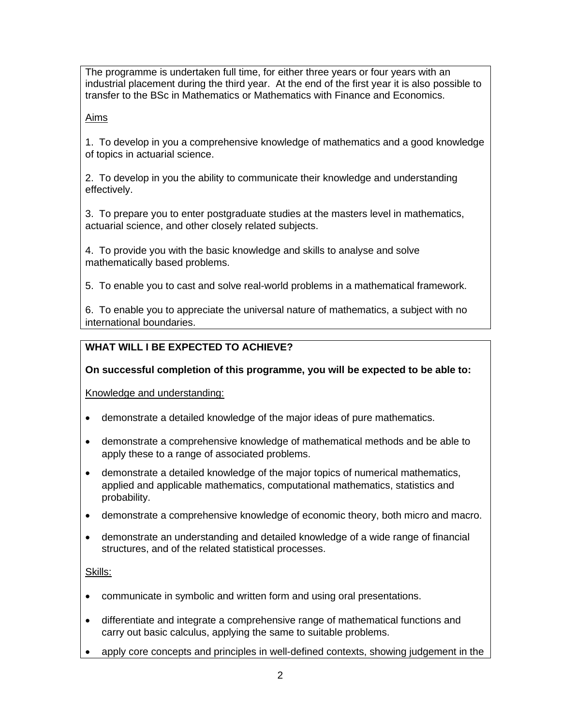The programme is undertaken full time, for either three years or four years with an industrial placement during the third year. At the end of the first year it is also possible to transfer to the BSc in Mathematics or Mathematics with Finance and Economics.

Aims

1. To develop in you a comprehensive knowledge of mathematics and a good knowledge of topics in actuarial science.

2. To develop in you the ability to communicate their knowledge and understanding effectively.

3. To prepare you to enter postgraduate studies at the masters level in mathematics, actuarial science, and other closely related subjects.

4. To provide you with the basic knowledge and skills to analyse and solve mathematically based problems.

5. To enable you to cast and solve real-world problems in a mathematical framework.

6. To enable you to appreciate the universal nature of mathematics, a subject with no international boundaries.

# **WHAT WILL I BE EXPECTED TO ACHIEVE?**

**On successful completion of this programme, you will be expected to be able to:**

Knowledge and understanding:

- demonstrate a detailed knowledge of the major ideas of pure mathematics.
- demonstrate a comprehensive knowledge of mathematical methods and be able to apply these to a range of associated problems.
- demonstrate a detailed knowledge of the major topics of numerical mathematics, applied and applicable mathematics, computational mathematics, statistics and probability.
- demonstrate a comprehensive knowledge of economic theory, both micro and macro.
- demonstrate an understanding and detailed knowledge of a wide range of financial structures, and of the related statistical processes.

## Skills:

- communicate in symbolic and written form and using oral presentations.
- differentiate and integrate a comprehensive range of mathematical functions and carry out basic calculus, applying the same to suitable problems.
- apply core concepts and principles in well-defined contexts, showing judgement in the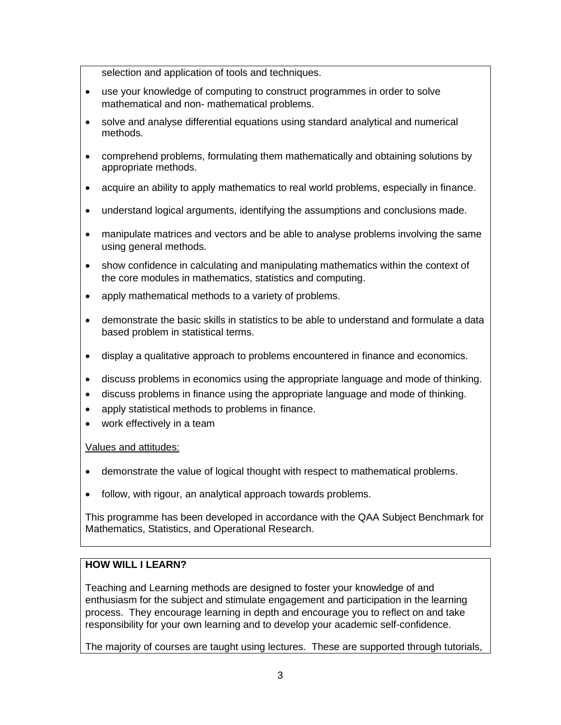selection and application of tools and techniques.

- use your knowledge of computing to construct programmes in order to solve mathematical and non- mathematical problems.
- solve and analyse differential equations using standard analytical and numerical methods.
- comprehend problems, formulating them mathematically and obtaining solutions by appropriate methods.
- acquire an ability to apply mathematics to real world problems, especially in finance.
- understand logical arguments, identifying the assumptions and conclusions made.
- manipulate matrices and vectors and be able to analyse problems involving the same using general methods.
- show confidence in calculating and manipulating mathematics within the context of the core modules in mathematics, statistics and computing.
- apply mathematical methods to a variety of problems.
- demonstrate the basic skills in statistics to be able to understand and formulate a data based problem in statistical terms.
- display a qualitative approach to problems encountered in finance and economics.
- discuss problems in economics using the appropriate language and mode of thinking.
- discuss problems in finance using the appropriate language and mode of thinking.
- apply statistical methods to problems in finance.
- work effectively in a team

### Values and attitudes:

- demonstrate the value of logical thought with respect to mathematical problems.
- follow, with rigour, an analytical approach towards problems.

This programme has been developed in accordance with the QAA Subject Benchmark for Mathematics, Statistics, and Operational Research.

### **HOW WILL I LEARN?**

Teaching and Learning methods are designed to foster your knowledge of and enthusiasm for the subject and stimulate engagement and participation in the learning process. They encourage learning in depth and encourage you to reflect on and take responsibility for your own learning and to develop your academic self-confidence.

The majority of courses are taught using lectures. These are supported through tutorials,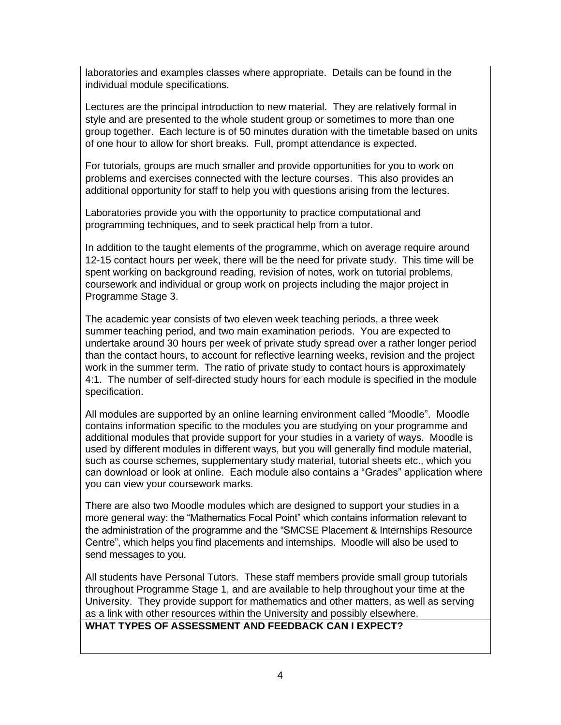laboratories and examples classes where appropriate. Details can be found in the individual module specifications.

Lectures are the principal introduction to new material. They are relatively formal in style and are presented to the whole student group or sometimes to more than one group together. Each lecture is of 50 minutes duration with the timetable based on units of one hour to allow for short breaks. Full, prompt attendance is expected.

For tutorials, groups are much smaller and provide opportunities for you to work on problems and exercises connected with the lecture courses. This also provides an additional opportunity for staff to help you with questions arising from the lectures.

Laboratories provide you with the opportunity to practice computational and programming techniques, and to seek practical help from a tutor.

In addition to the taught elements of the programme, which on average require around 12-15 contact hours per week, there will be the need for private study. This time will be spent working on background reading, revision of notes, work on tutorial problems, coursework and individual or group work on projects including the major project in Programme Stage 3.

The academic year consists of two eleven week teaching periods, a three week summer teaching period, and two main examination periods. You are expected to undertake around 30 hours per week of private study spread over a rather longer period than the contact hours, to account for reflective learning weeks, revision and the project work in the summer term. The ratio of private study to contact hours is approximately 4:1. The number of self-directed study hours for each module is specified in the module specification.

All modules are supported by an online learning environment called "Moodle". Moodle contains information specific to the modules you are studying on your programme and additional modules that provide support for your studies in a variety of ways. Moodle is used by different modules in different ways, but you will generally find module material, such as course schemes, supplementary study material, tutorial sheets etc., which you can download or look at online. Each module also contains a "Grades" application where you can view your coursework marks.

There are also two Moodle modules which are designed to support your studies in a more general way: the "Mathematics Focal Point" which contains information relevant to the administration of the programme and the "SMCSE Placement & Internships Resource Centre", which helps you find placements and internships. Moodle will also be used to send messages to you.

All students have Personal Tutors. These staff members provide small group tutorials throughout Programme Stage 1, and are available to help throughout your time at the University. They provide support for mathematics and other matters, as well as serving as a link with other resources within the University and possibly elsewhere.

## **WHAT TYPES OF ASSESSMENT AND FEEDBACK CAN I EXPECT?**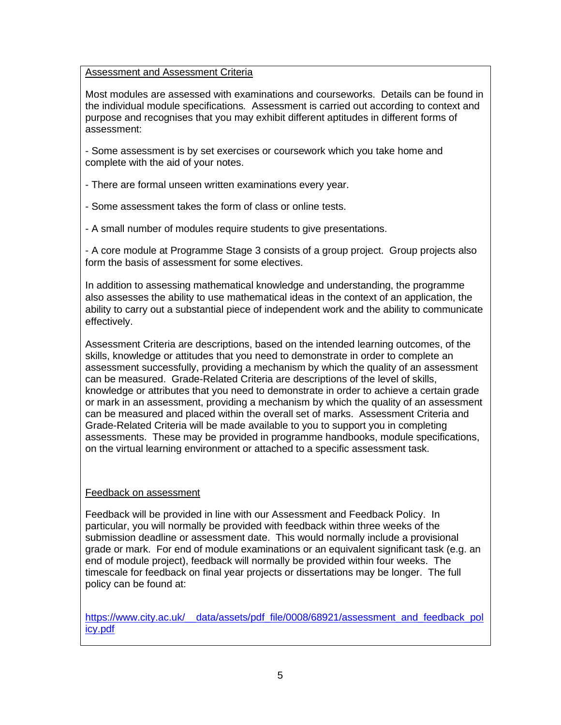### Assessment and Assessment Criteria

Most modules are assessed with examinations and courseworks. Details can be found in the individual module specifications*.* Assessment is carried out according to context and purpose and recognises that you may exhibit different aptitudes in different forms of assessment:

- Some assessment is by set exercises or coursework which you take home and complete with the aid of your notes.

- There are formal unseen written examinations every year.

- Some assessment takes the form of class or online tests.

- A small number of modules require students to give presentations.

- A core module at Programme Stage 3 consists of a group project. Group projects also form the basis of assessment for some electives.

In addition to assessing mathematical knowledge and understanding, the programme also assesses the ability to use mathematical ideas in the context of an application, the ability to carry out a substantial piece of independent work and the ability to communicate effectively.

Assessment Criteria are descriptions, based on the intended learning outcomes, of the skills, knowledge or attitudes that you need to demonstrate in order to complete an assessment successfully, providing a mechanism by which the quality of an assessment can be measured. Grade-Related Criteria are descriptions of the level of skills, knowledge or attributes that you need to demonstrate in order to achieve a certain grade or mark in an assessment, providing a mechanism by which the quality of an assessment can be measured and placed within the overall set of marks. Assessment Criteria and Grade-Related Criteria will be made available to you to support you in completing assessments. These may be provided in programme handbooks, module specifications, on the virtual learning environment or attached to a specific assessment task*.*

### Feedback on assessment

Feedback will be provided in line with our Assessment and Feedback Policy. In particular, you will normally be provided with feedback within three weeks of the submission deadline or assessment date. This would normally include a provisional grade or mark. For end of module examinations or an equivalent significant task (e.g. an end of module project), feedback will normally be provided within four weeks. The timescale for feedback on final year projects or dissertations may be longer. The full policy can be found at:

[https://www.city.ac.uk/\\_\\_data/assets/pdf\\_file/0008/68921/assessment\\_and\\_feedback\\_pol](https://www.city.ac.uk/__data/assets/pdf_file/0008/68921/assessment_and_feedback_policy.pdf) [icy.pdf](https://www.city.ac.uk/__data/assets/pdf_file/0008/68921/assessment_and_feedback_policy.pdf)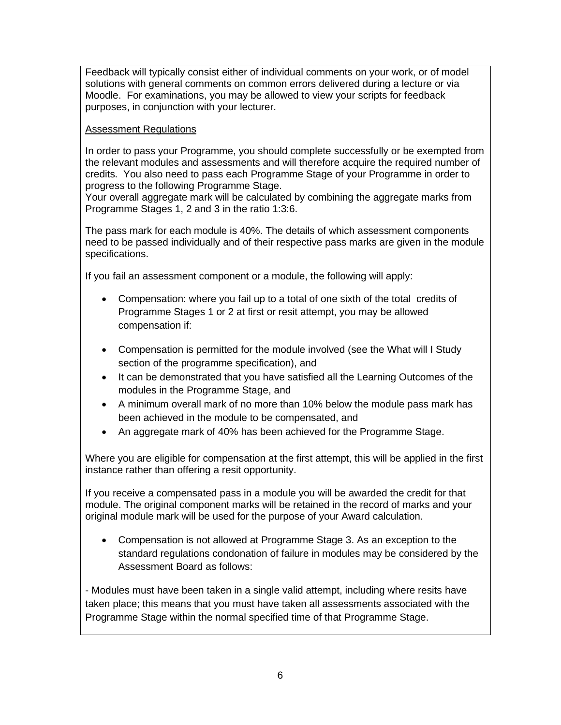Feedback will typically consist either of individual comments on your work, or of model solutions with general comments on common errors delivered during a lecture or via Moodle. For examinations, you may be allowed to view your scripts for feedback purposes, in conjunction with your lecturer.

### Assessment Regulations

In order to pass your Programme, you should complete successfully or be exempted from the relevant modules and assessments and will therefore acquire the required number of credits. You also need to pass each Programme Stage of your Programme in order to progress to the following Programme Stage.

Your overall aggregate mark will be calculated by combining the aggregate marks from Programme Stages 1, 2 and 3 in the ratio 1:3:6.

The pass mark for each module is 40%. The details of which assessment components need to be passed individually and of their respective pass marks are given in the module specifications.

If you fail an assessment component or a module, the following will apply:

- Compensation: where you fail up to a total of one sixth of the total credits of Programme Stages 1 or 2 at first or resit attempt, you may be allowed compensation if:
- Compensation is permitted for the module involved (see the What will I Study section of the programme specification), and
- It can be demonstrated that you have satisfied all the Learning Outcomes of the modules in the Programme Stage, and
- A minimum overall mark of no more than 10% below the module pass mark has been achieved in the module to be compensated, and
- An aggregate mark of 40% has been achieved for the Programme Stage.

Where you are eligible for compensation at the first attempt, this will be applied in the first instance rather than offering a resit opportunity.

If you receive a compensated pass in a module you will be awarded the credit for that module. The original component marks will be retained in the record of marks and your original module mark will be used for the purpose of your Award calculation.

• Compensation is not allowed at Programme Stage 3. As an exception to the standard regulations condonation of failure in modules may be considered by the Assessment Board as follows:

- Modules must have been taken in a single valid attempt, including where resits have taken place; this means that you must have taken all assessments associated with the Programme Stage within the normal specified time of that Programme Stage.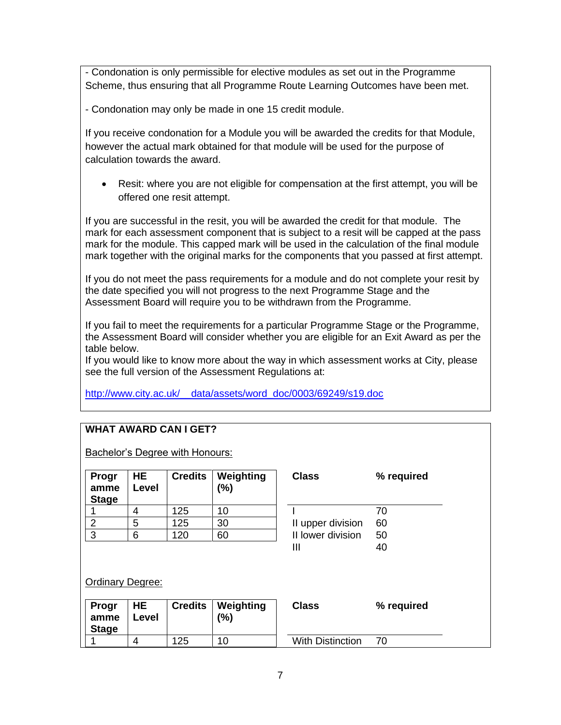- Condonation is only permissible for elective modules as set out in the Programme Scheme, thus ensuring that all Programme Route Learning Outcomes have been met.

- Condonation may only be made in one 15 credit module.

If you receive condonation for a Module you will be awarded the credits for that Module, however the actual mark obtained for that module will be used for the purpose of calculation towards the award.

• Resit: where you are not eligible for compensation at the first attempt, you will be offered one resit attempt.

If you are successful in the resit, you will be awarded the credit for that module. The mark for each assessment component that is subject to a resit will be capped at the pass mark for the module. This capped mark will be used in the calculation of the final module mark together with the original marks for the components that you passed at first attempt.

If you do not meet the pass requirements for a module and do not complete your resit by the date specified you will not progress to the next Programme Stage and the Assessment Board will require you to be withdrawn from the Programme.

If you fail to meet the requirements for a particular Programme Stage or the Programme, the Assessment Board will consider whether you are eligible for an Exit Award as per the table below.

If you would like to know more about the way in which assessment works at City, please see the full version of the Assessment Regulations at:

[http://www.city.ac.uk/\\_\\_data/assets/word\\_doc/0003/69249/s19.doc](http://www.city.ac.uk/__data/assets/word_doc/0003/69249/s19.doc)

## **WHAT AWARD CAN I GET?**

Bachelor's Degree with Honours:

| Progr<br>amme<br><b>Stage</b> | HE<br>Level | <b>Credits</b> | Weighting<br>(%) | <b>Class</b>      | ℅  |
|-------------------------------|-------------|----------------|------------------|-------------------|----|
|                               |             | 125            | 10               |                   | 70 |
|                               | 5           | 125            | 30               | II upper division | 60 |
| 3                             | 6           | 120            | 60               | II lower division | 50 |
|                               |             |                |                  | Ш                 | 4ሰ |

| Class                                       | % required           |
|---------------------------------------------|----------------------|
| II upper division<br>II lower division<br>Ш | 70<br>60<br>50<br>40 |
| lass                                        | % reguired           |

Ordinary Degree:

| <b>Progr</b><br>amme<br><b>Stage</b> | <b>HE</b><br>Level | <b>Credits</b> | Weighting<br>(%) | Class            | % required |
|--------------------------------------|--------------------|----------------|------------------|------------------|------------|
|                                      |                    | 125            | 10               | With Distinction |            |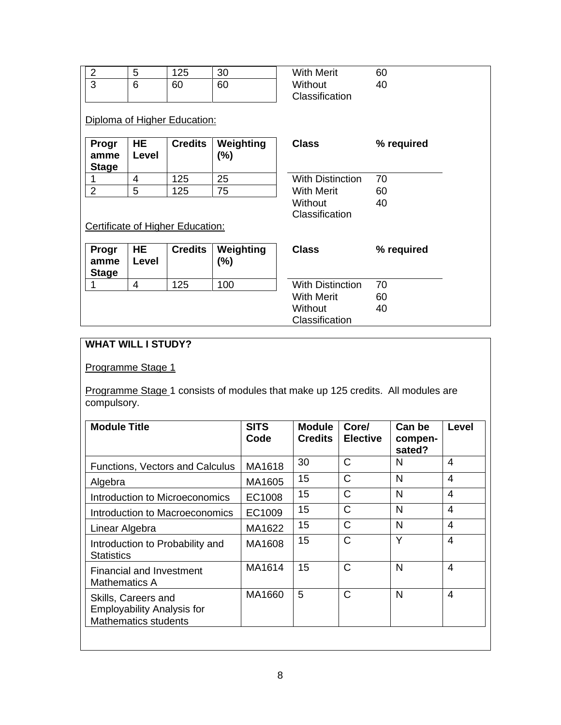|            | ∽<br>v | イクス | 30 | <b>With Merit</b> | 60 |
|------------|--------|-----|----|-------------------|----|
| $\sqrt{2}$ | 6      | 60  | 60 | Without           |    |
|            |        |     |    | Classification    |    |

## Diploma of Higher Education:

| <b>Progr</b><br>amme<br><b>Stage</b> | HE.<br>Level | $C$ redits $ $ | Weighting<br>(%) | <b>Class</b>            | ℅  |
|--------------------------------------|--------------|----------------|------------------|-------------------------|----|
|                                      |              | 125            | 25               | <b>With Distinction</b> | 70 |
|                                      | 5            | 125            | 75               | <b>With Merit</b>       | 60 |

| <b>Class</b>                                                              | % required     |
|---------------------------------------------------------------------------|----------------|
| <b>With Distinction</b><br><b>With Merit</b><br>Without<br>Classification | 70<br>60<br>40 |

40

## Certificate of Higher Education:

| Progr<br>amme<br><b>Stage</b> | <b>HE</b><br>Level | <b>Credits</b> | Weighting<br>$(\%)$ | <b>Class</b>            | % required |
|-------------------------------|--------------------|----------------|---------------------|-------------------------|------------|
|                               | 4                  | 125            | 100                 | <b>With Distinction</b> | 70         |
|                               |                    |                |                     | <b>With Merit</b>       | 60         |
|                               |                    |                |                     | Without                 | 40         |
|                               |                    |                |                     | Classification          |            |

## **WHAT WILL I STUDY?**

## Programme Stage 1

Programme Stage 1 consists of modules that make up 125 credits. All modules are compulsory.

| Code   | <b>Module</b><br><b>Credits</b> | Core/<br><b>Elective</b> | Can be<br>compen-<br>sated? | Level          |
|--------|---------------------------------|--------------------------|-----------------------------|----------------|
| MA1618 | 30                              | $\mathsf{C}$             | N                           | $\overline{4}$ |
| MA1605 | 15                              | $\mathsf{C}$             | N                           | 4              |
| EC1008 | 15                              | $\mathsf{C}$             | N                           | $\overline{4}$ |
| EC1009 | 15                              | $\mathsf{C}$             | N                           | $\overline{4}$ |
| MA1622 | 15                              | C                        | N                           | 4              |
| MA1608 | 15                              | C                        | Y                           | $\overline{4}$ |
| MA1614 | 15                              | $\mathsf{C}$             | N                           | $\overline{4}$ |
| MA1660 | 5                               | $\mathsf{C}$             | N                           | 4              |
|        |                                 |                          |                             |                |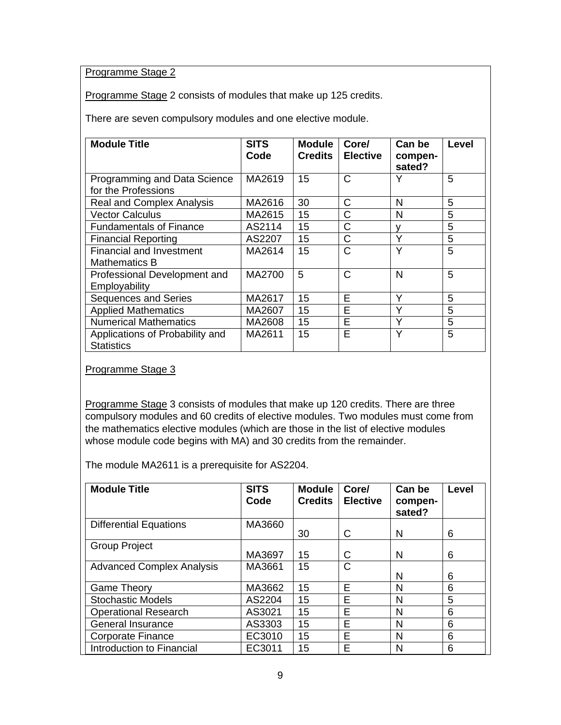## Programme Stage 2

Programme Stage 2 consists of modules that make up 125 credits.

There are seven compulsory modules and one elective module.

| <b>Module Title</b>                                  | <b>SITS</b><br>Code | <b>Module</b><br><b>Credits</b> | Core/<br><b>Elective</b> | Can be<br>compen-<br>sated? | Level |
|------------------------------------------------------|---------------------|---------------------------------|--------------------------|-----------------------------|-------|
| Programming and Data Science<br>for the Professions  | MA2619              | 15                              | C                        | Υ                           | 5     |
| <b>Real and Complex Analysis</b>                     | MA2616              | 30                              | C                        | N                           | 5     |
| <b>Vector Calculus</b>                               | MA2615              | 15                              | C                        | N                           | 5     |
| <b>Fundamentals of Finance</b>                       | AS2114              | 15                              | C                        | v                           | 5     |
| <b>Financial Reporting</b>                           | AS2207              | 15                              | C                        | Υ                           | 5     |
| <b>Financial and Investment</b><br>Mathematics B     | MA2614              | 15                              | C                        | Y                           | 5     |
| Professional Development and<br>Employability        | MA2700              | 5                               | C                        | N                           | 5     |
| <b>Sequences and Series</b>                          | MA2617              | 15                              | E                        | Y                           | 5     |
| <b>Applied Mathematics</b>                           | MA2607              | 15                              | E                        | Y                           | 5     |
| <b>Numerical Mathematics</b>                         | MA2608              | 15                              | E                        | Υ                           | 5     |
| Applications of Probability and<br><b>Statistics</b> | MA2611              | 15                              | Е                        | Y                           | 5     |

Programme Stage 3

Programme Stage 3 consists of modules that make up 120 credits. There are three compulsory modules and 60 credits of elective modules. Two modules must come from the mathematics elective modules (which are those in the list of elective modules whose module code begins with MA) and 30 credits from the remainder.

The module MA2611 is a prerequisite for AS2204.

| <b>Module Title</b>              | <b>SITS</b><br>Code | <b>Module</b><br><b>Credits</b> | Core/<br><b>Elective</b> | Can be<br>compen-<br>sated? | Level |
|----------------------------------|---------------------|---------------------------------|--------------------------|-----------------------------|-------|
| <b>Differential Equations</b>    | MA3660              | 30                              | C                        | N                           | 6     |
| <b>Group Project</b>             | MA3697              | 15                              | C                        | N                           | 6     |
| <b>Advanced Complex Analysis</b> | MA3661              | 15                              | С                        | N                           | 6     |
| <b>Game Theory</b>               | MA3662              | 15                              | E                        | N                           | 6     |
| <b>Stochastic Models</b>         | AS2204              | 15                              | Е                        | N                           | 5     |
| <b>Operational Research</b>      | AS3021              | 15                              | E                        | N                           | 6     |
| <b>General Insurance</b>         | AS3303              | 15                              | E                        | N                           | 6     |
| <b>Corporate Finance</b>         | EC3010              | 15                              | F                        | N                           | 6     |
| Introduction to Financial        | EC3011              | 15                              | E                        | N                           | 6     |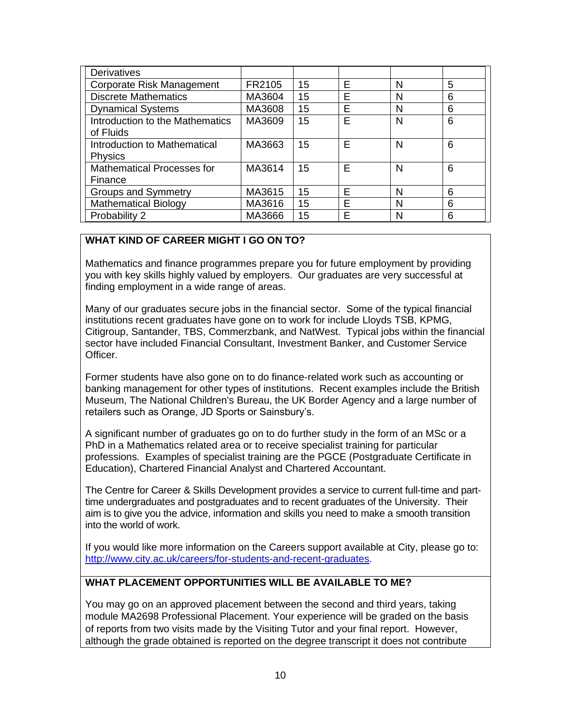| <b>Derivatives</b>                             |        |    |   |   |   |
|------------------------------------------------|--------|----|---|---|---|
| Corporate Risk Management                      | FR2105 | 15 | E | N | 5 |
| <b>Discrete Mathematics</b>                    | MA3604 | 15 | E | N | 6 |
| <b>Dynamical Systems</b>                       | MA3608 | 15 | E | N | 6 |
| Introduction to the Mathematics<br>of Fluids   | MA3609 | 15 | E | N | 6 |
| Introduction to Mathematical<br><b>Physics</b> | MA3663 | 15 | F | N | 6 |
| <b>Mathematical Processes for</b><br>Finance   | MA3614 | 15 | F | N | 6 |
| <b>Groups and Symmetry</b>                     | MA3615 | 15 | F | N | 6 |
| <b>Mathematical Biology</b>                    | MA3616 | 15 | Е | N | 6 |
| Probability 2                                  | MA3666 | 15 | F | N | 6 |

### **WHAT KIND OF CAREER MIGHT I GO ON TO?**

Mathematics and finance programmes prepare you for future employment by providing you with key skills highly valued by employers. Our graduates are very successful at finding employment in a wide range of areas.

Many of our graduates secure jobs in the financial sector. Some of the typical financial institutions recent graduates have gone on to work for include Lloyds TSB, KPMG, Citigroup, Santander, TBS, Commerzbank, and NatWest. Typical jobs within the financial sector have included Financial Consultant, Investment Banker, and Customer Service Officer.

Former students have also gone on to do finance-related work such as accounting or banking management for other types of institutions. Recent examples include the British Museum, The National Children's Bureau, the UK Border Agency and a large number of retailers such as Orange, JD Sports or Sainsbury's.

A significant number of graduates go on to do further study in the form of an MSc or a PhD in a Mathematics related area or to receive specialist training for particular professions. Examples of specialist training are the PGCE (Postgraduate Certificate in Education), Chartered Financial Analyst and Chartered Accountant.

The Centre for Career & Skills Development provides a service to current full-time and parttime undergraduates and postgraduates and to recent graduates of the University. Their aim is to give you the advice, information and skills you need to make a smooth transition into the world of work.

If you would like more information on the Careers support available at City, please go to: [http://www.city.ac.uk/careers/for-students-and-recent-graduates.](http://www.city.ac.uk/careers/for-students-and-recent-graduates)

## **WHAT PLACEMENT OPPORTUNITIES WILL BE AVAILABLE TO ME?**

You may go on an approved placement between the second and third years, taking module MA2698 Professional Placement. Your experience will be graded on the basis of reports from two visits made by the Visiting Tutor and your final report. However, although the grade obtained is reported on the degree transcript it does not contribute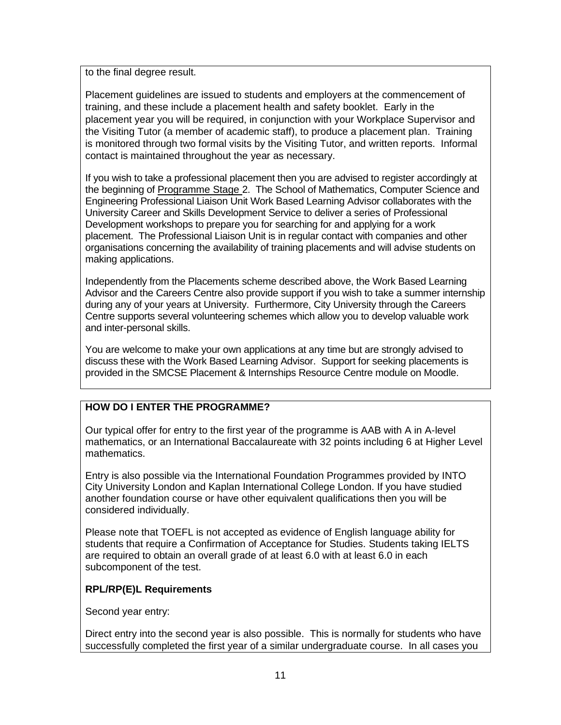to the final degree result.

Placement guidelines are issued to students and employers at the commencement of training, and these include a placement health and safety booklet. Early in the placement year you will be required, in conjunction with your Workplace Supervisor and the Visiting Tutor (a member of academic staff), to produce a placement plan. Training is monitored through two formal visits by the Visiting Tutor, and written reports. Informal contact is maintained throughout the year as necessary.

If you wish to take a professional placement then you are advised to register accordingly at the beginning of Programme Stage 2. The School of Mathematics, Computer Science and Engineering Professional Liaison Unit Work Based Learning Advisor collaborates with the University Career and Skills Development Service to deliver a series of Professional Development workshops to prepare you for searching for and applying for a work placement. The Professional Liaison Unit is in regular contact with companies and other organisations concerning the availability of training placements and will advise students on making applications.

Independently from the Placements scheme described above, the Work Based Learning Advisor and the Careers Centre also provide support if you wish to take a summer internship during any of your years at University. Furthermore, City University through the Careers Centre supports several volunteering schemes which allow you to develop valuable work and inter-personal skills.

You are welcome to make your own applications at any time but are strongly advised to discuss these with the Work Based Learning Advisor. Support for seeking placements is provided in the SMCSE Placement & Internships Resource Centre module on Moodle.

## **HOW DO I ENTER THE PROGRAMME?**

Our typical offer for entry to the first year of the programme is AAB with A in A-level mathematics, or an International Baccalaureate with 32 points including 6 at Higher Level mathematics.

Entry is also possible via the International Foundation Programmes provided by INTO City University London and Kaplan International College London. If you have studied another foundation course or have other equivalent qualifications then you will be considered individually.

Please note that TOEFL is not accepted as evidence of English language ability for students that require a Confirmation of Acceptance for Studies. Students taking IELTS are required to obtain an overall grade of at least 6.0 with at least 6.0 in each subcomponent of the test.

## **RPL/RP(E)L Requirements**

Second year entry:

Direct entry into the second year is also possible. This is normally for students who have successfully completed the first year of a similar undergraduate course. In all cases you